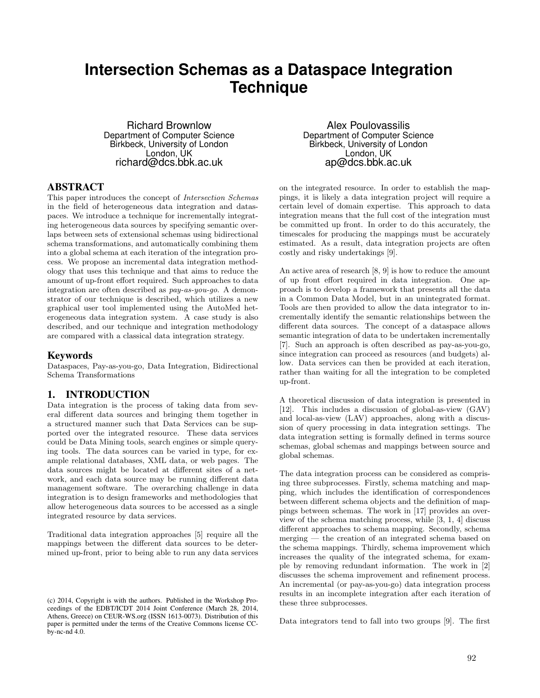# **Intersection Schemas as a Dataspace Integration Technique**

Richard Brownlow Department of Computer Science Birkbeck, University of London London, UK richard@dcs.bbk.ac.uk

## ABSTRACT

This paper introduces the concept of *Intersection Schemas* in the field of heterogeneous data integration and dataspaces. We introduce a technique for incrementally integrating heterogeneous data sources by specifying semantic overlaps between sets of extensional schemas using bidirectional schema transformations, and automatically combining them into a global schema at each iteration of the integration process. We propose an incremental data integration methodology that uses this technique and that aims to reduce the amount of up-front effort required. Such approaches to data integration are often described as *pay-as-you-go*. A demonstrator of our technique is described, which utilizes a new graphical user tool implemented using the AutoMed heterogeneous data integration system. A case study is also described, and our technique and integration methodology are compared with a classical data integration strategy.

#### Keywords

Dataspaces, Pay-as-you-go, Data Integration, Bidirectional Schema Transformations

## 1. INTRODUCTION

Data integration is the process of taking data from several different data sources and bringing them together in a structured manner such that Data Services can be supported over the integrated resource. These data services could be Data Mining tools, search engines or simple querying tools. The data sources can be varied in type, for example relational databases, XML data, or web pages. The data sources might be located at different sites of a network, and each data source may be running different data management software. The overarching challenge in data integration is to design frameworks and methodologies that allow heterogeneous data sources to be accessed as a single integrated resource by data services.

Traditional data integration approaches [5] require all the mappings between the different data sources to be determined up-front, prior to being able to run any data services

Alex Poulovassilis Department of Computer Science Birkbeck, University of London London, UK ap@dcs.bbk.ac.uk

on the integrated resource. In order to establish the mappings, it is likely a data integration project will require a certain level of domain expertise. This approach to data integration means that the full cost of the integration must be committed up front. In order to do this accurately, the timescales for producing the mappings must be accurately estimated. As a result, data integration projects are often costly and risky undertakings [9].

An active area of research [8, 9] is how to reduce the amount of up front effort required in data integration. One approach is to develop a framework that presents all the data in a Common Data Model, but in an unintegrated format. Tools are then provided to allow the data integrator to incrementally identify the semantic relationships between the different data sources. The concept of a dataspace allows semantic integration of data to be undertaken incrementally [7]. Such an approach is often described as pay-as-you-go, since integration can proceed as resources (and budgets) allow. Data services can then be provided at each iteration, rather than waiting for all the integration to be completed up-front.

A theoretical discussion of data integration is presented in [12]. This includes a discussion of global-as-view (GAV) and local-as-view (LAV) approaches, along with a discussion of query processing in data integration settings. The data integration setting is formally defined in terms source schemas, global schemas and mappings between source and global schemas.

The data integration process can be considered as comprising three subprocesses. Firstly, schema matching and mapping, which includes the identification of correspondences between different schema objects and the definition of mappings between schemas. The work in [17] provides an overview of the schema matching process, while [3, 1, 4] discuss different approaches to schema mapping. Secondly, schema merging — the creation of an integrated schema based on the schema mappings. Thirdly, schema improvement which increases the quality of the integrated schema, for example by removing redundant information. The work in [2] discusses the schema improvement and refinement process. An incremental (or pay-as-you-go) data integration process results in an incomplete integration after each iteration of these three subprocesses.

Data integrators tend to fall into two groups [9]. The first

<sup>(</sup>c) 2014, Copyright is with the authors. Published in the Workshop Proceedings of the EDBT/ICDT 2014 Joint Conference (March 28, 2014, Athens, Greece) on CEUR-WS.org (ISSN 1613-0073). Distribution of this paper is permitted under the terms of the Creative Commons license CCby-nc-nd 4.0.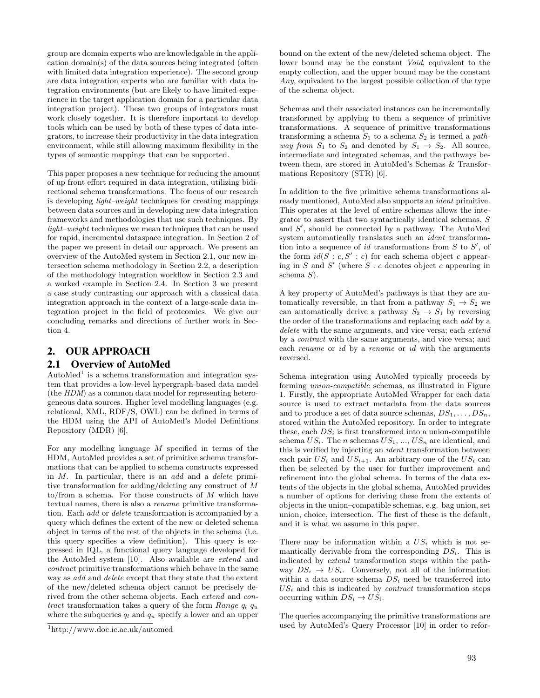group are domain experts who are knowledgable in the application domain(s) of the data sources being integrated (often with limited data integration experience). The second group are data integration experts who are familiar with data integration environments (but are likely to have limited experience in the target application domain for a particular data integration project). These two groups of integrators must work closely together. It is therefore important to develop tools which can be used by both of these types of data integrators, to increase their productivity in the data integration environment, while still allowing maximum flexibility in the types of semantic mappings that can be supported.

This paper proposes a new technique for reducing the amount of up front effort required in data integration, utilizing bidirectional schema transformations. The focus of our research is developing *light–weight* techniques for creating mappings between data sources and in developing new data integration frameworks and methodologies that use such techniques. By *light–weight* techniques we mean techniques that can be used for rapid, incremental dataspace integration. In Section 2 of the paper we present in detail our approach. We present an overview of the AutoMed system in Section 2.1, our new intersection schema methodology in Section 2.2, a description of the methodology integration workflow in Section 2.3 and a worked example in Section 2.4. In Section 3 we present a case study contrasting our approach with a classical data integration approach in the context of a large-scale data integration project in the field of proteomics. We give our concluding remarks and directions of further work in Section 4.

## 2. OUR APPROACH

#### 2.1 Overview of AutoMed

AutoMed<sup>1</sup> is a schema transformation and integration system that provides a low-level hypergraph-based data model (the *HDM*) as a common data model for representing heterogeneous data sources. Higher level modelling languages (e.g. relational, XML, RDF/S, OWL) can be defined in terms of the HDM using the API of AutoMed's Model Definitions Repository (MDR) [6].

For any modelling language *M* specified in terms of the HDM, AutoMed provides a set of primitive schema transformations that can be applied to schema constructs expressed in *M*. In particular, there is an *add* and a *delete* primitive transformation for adding/deleting any construct of *M* to/from a schema. For those constructs of *M* which have textual names, there is also a *rename* primitive transformation. Each *add* or *delete* transformation is accompanied by a query which defines the extent of the new or deleted schema object in terms of the rest of the objects in the schema (i.e. this query specifies a view definition). This query is expressed in IQL, a functional query language developed for the AutoMed system [10]. Also available are *extend* and *contract* primitive transformations which behave in the same way as *add* and *delete* except that they state that the extent of the new/deleted schema object cannot be precisely derived from the other schema objects. Each *extend* and *contract* transformation takes a query of the form *Range q<sup>l</sup> q<sup>u</sup>* where the subqueries  $q_l$  and  $q_u$  specify a lower and an upper

bound on the extent of the new/deleted schema object. The lower bound may be the constant *Void*, equivalent to the empty collection, and the upper bound may be the constant *Any*, equivalent to the largest possible collection of the type of the schema object.

Schemas and their associated instances can be incrementally transformed by applying to them a sequence of primitive transformations. A sequence of primitive transformations transforming a schema  $S_1$  to a schema  $S_2$  is termed a *pathway from*  $S_1$  to  $S_2$  and denoted by  $S_1 \rightarrow S_2$ . All source, intermediate and integrated schemas, and the pathways between them, are stored in AutoMed's Schemas & Transformations Repository (STR) [6].

In addition to the five primitive schema transformations already mentioned, AutoMed also supports an *ident* primitive. This operates at the level of entire schemas allows the integrator to assert that two syntactically identical schemas, *S* and S', should be connected by a pathway. The AutoMed system automatically translates such an *ident* transformation into a sequence of *id* transformations from  $S$  to  $S'$ , of the form  $id(S : c, S' : c)$  for each schema object *c* appearing in  $S$  and  $S'$  (where  $S : c$  denotes object  $c$  appearing in schema *S*).

A key property of AutoMed's pathways is that they are automatically reversible, in that from a pathway  $S_1 \rightarrow S_2$  we can automatically derive a pathway  $S_2 \rightarrow S_1$  by reversing the order of the transformations and replacing each *add* by a *delete* with the same arguments, and vice versa; each *extend* by a *contract* with the same arguments, and vice versa; and each *rename* or *id* by a *rename* or *id* with the arguments reversed.

Schema integration using AutoMed typically proceeds by forming *union-compatible* schemas, as illustrated in Figure 1. Firstly, the appropriate AutoMed Wrapper for each data source is used to extract metadata from the data sources and to produce a set of data source schemas,  $DS_1, \ldots, DS_n$ , stored within the AutoMed repository. In order to integrate these, each  $DS_i$  is first transformed into a union-compatible schema *USi*. The *n* schemas *US*1, ..., *US<sup>n</sup>* are identical, and this is verified by injecting an *ident* transformation between each pair  $US_i$  and  $US_{i+1}$ . An arbitrary one of the  $US_i$  can then be selected by the user for further improvement and refinement into the global schema. In terms of the data extents of the objects in the global schema, AutoMed provides a number of options for deriving these from the extents of objects in the union–compatible schemas, e.g. bag union, set union, choice, intersection. The first of these is the default, and it is what we assume in this paper.

There may be information within a  $US_i$  which is not semantically derivable from the corresponding *DSi*. This is indicated by *extend* transformation steps within the pathway  $DS_i \rightarrow US_i$ . Conversely, not all of the information within a data source schema *DS<sup>i</sup>* need be transferred into  $US_i$  and this is indicated by *contract* transformation steps occurring within  $DS_i \rightarrow US_i$ .

The queries accompanying the primitive transformations are used by AutoMed's Query Processor [10] in order to refor-

<sup>1</sup>http://www.doc.ic.ac.uk/automed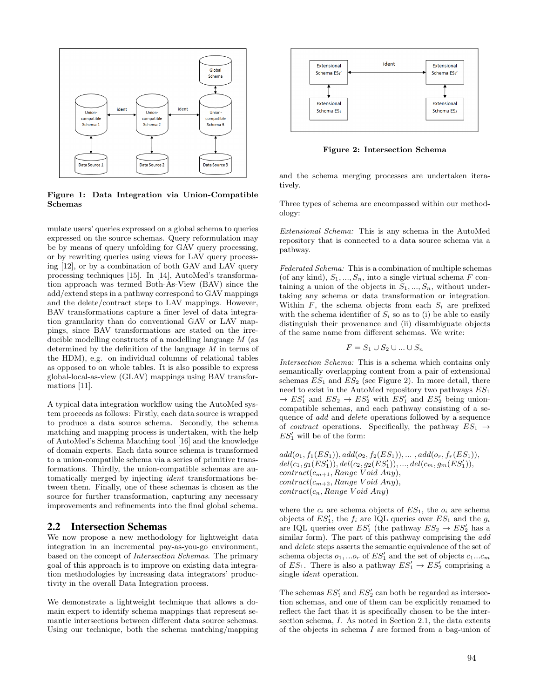

Figure 1: Data Integration via Union-Compatible Schemas

mulate users' queries expressed on a global schema to queries expressed on the source schemas. Query reformulation may be by means of query unfolding for GAV query processing, or by rewriting queries using views for LAV query processing [12], or by a combination of both GAV and LAV query processing techniques [15]. In [14], AutoMed's transformation approach was termed Both-As-View (BAV) since the add/extend steps in a pathway correspond to GAV mappings and the delete/contract steps to LAV mappings. However, BAV transformations capture a finer level of data integration granularity than do conventional GAV or LAV mappings, since BAV transformations are stated on the irreducible modelling constructs of a modelling language *M* (as determined by the definition of the language *M* in terms of the HDM), e.g. on individual columns of relational tables as opposed to on whole tables. It is also possible to express global-local-as-view (GLAV) mappings using BAV transformations [11].

A typical data integration workflow using the AutoMed system proceeds as follows: Firstly, each data source is wrapped to produce a data source schema. Secondly, the schema matching and mapping process is undertaken, with the help of AutoMed's Schema Matching tool [16] and the knowledge of domain experts. Each data source schema is transformed to a union-compatible schema via a series of primitive transformations. Thirdly, the union-compatible schemas are automatically merged by injecting *ident* transformations between them. Finally, one of these schemas is chosen as the source for further transformation, capturing any necessary improvements and refinements into the final global schema.

#### 2.2 Intersection Schemas

We now propose a new methodology for lightweight data integration in an incremental pay-as-you-go environment, based on the concept of *Intersection Schemas*. The primary goal of this approach is to improve on existing data integration methodologies by increasing data integrators' productivity in the overall Data Integration process.

We demonstrate a lightweight technique that allows a domain expert to identify schema mappings that represent semantic intersections between different data source schemas. Using our technique, both the schema matching/mapping



Figure 2: Intersection Schema

and the schema merging processes are undertaken iteratively.

Three types of schema are encompassed within our methodology:

*Extensional Schema:* This is any schema in the AutoMed repository that is connected to a data source schema via a pathway.

*Federated Schema:* This is a combination of multiple schemas (of any kind),  $S_1, ..., S_n$ , into a single virtual schema  $F$  containing a union of the objects in  $S_1, ..., S_n$ , without undertaking any schema or data transformation or integration. Within  $F$ , the schema objects from each  $S_i$  are prefixed with the schema identifier of  $S_i$  so as to (i) be able to easily distinguish their provenance and (ii) disambiguate objects of the same name from different schemas. We write:

$$
F = S_1 \cup S_2 \cup \ldots \cup S_n
$$

*Intersection Schema:* This is a schema which contains only semantically overlapping content from a pair of extensional schemas *ES*<sup>1</sup> and *ES*<sup>2</sup> (see Figure 2). In more detail, there need to exist in the AutoMed repository two pathways *ES*<sup>1</sup>  $\rightarrow ES'_1$  and  $ES_2 \rightarrow ES'_2$  with  $ES'_1$  and  $ES'_2$  being unioncompatible schemas, and each pathway consisting of a sequence of *add* and *delete* operations followed by a sequence of *contract* operations. Specifically, the pathway  $ES_1 \rightarrow$  $ES'_{1}$  will be of the form:

 $add(o_1, f_1(ES_1)), add(o_2, f_2(ES_1)), \ldots, add(o_r, f_r(ES_1)),$  $del(c_1, g_1(ES'_1)), del(c_2, g_2(ES'_1)), ..., del(c_m, g_m(ES'_1)),$  $contract(c_{m+1}, Range\, Void\, Any)$ *contract*(*cm*+2*, Range V oid Any*)*, contract*(*cn, Range V oid Any*)

where the  $c_i$  are schema objects of  $ES_1$ , the  $o_i$  are schema objects of  $ES'_{1}$ , the  $f_{i}$  are IQL queries over  $ES_{1}$  and the  $g_{i}$ are IQL queries over  $ES'_1$  (the pathway  $ES_2 \rightarrow ES'_2$  has a similar form). The part of this pathway comprising the *add* and *delete* steps asserts the semantic equivalence of the set of schema objects  $o_1$ , ... $o_r$  of  $ES'_1$  and the set of objects  $c_1...c_m$ of  $ES_1$ . There is also a pathway  $ES'_1 \rightarrow ES'_2$  comprising a single *ident* operation.

The schemas  $ES'_1$  and  $ES'_2$  can both be regarded as intersection schemas, and one of them can be explicitly renamed to reflect the fact that it is specifically chosen to be the intersection schema, *I*. As noted in Section 2.1, the data extents of the objects in schema *I* are formed from a bag-union of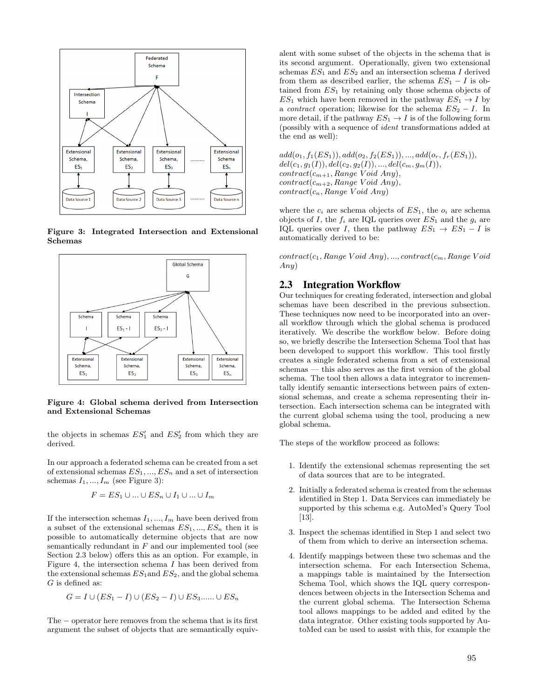

Figure 3: Integrated Intersection and Extensional Schemas



Figure 4: Global schema derived from Intersection and Extensional Schemas

the objects in schemas  $ES'_1$  and  $ES'_2$  from which they are derived.

In our approach a federated schema can be created from a set of extensional schemas *ES*1*, ..., ES<sup>n</sup>* and a set of intersection schemas  $I_1, ..., I_m$  (see Figure 3):

$$
F = ES_1 \cup ... \cup ES_n \cup I_1 \cup ... \cup I_m
$$

If the intersection schemas  $I_1, ..., I_m$  have been derived from a subset of the extensional schemas  $ES_1, ..., ES_n$  then it is possible to automatically determine objects that are now semantically redundant in *F* and our implemented tool (see Section 2.3 below) offers this as an option. For example, in Figure 4, the intersection schema *I* has been derived from the extensional schemas *ES*1and *ES*2, and the global schema *G* is defined as:

$$
G = I \cup (ES_1 - I) \cup (ES_2 - I) \cup ES_3 \dots \cup ES_n
$$

The  $-$  operator here removes from the schema that is its first argument the subset of objects that are semantically equivalent with some subset of the objects in the schema that is its second argument. Operationally, given two extensional schemas  $ES_1$  and  $ES_2$  and an intersection schema *I* derived from them as described earlier, the schema  $ES_1 - I$  is obtained from *ES*<sup>1</sup> by retaining only those schema objects of  $ES_1$  which have been removed in the pathway  $ES_1 \rightarrow I$  by a *contract* operation; likewise for the schema  $ES_2 - I$ . In more detail, if the pathway  $ES_1 \rightarrow I$  is of the following form (possibly with a sequence of *ident* transformations added at the end as well):

 $add(o_1, f_1(ES_1)), add(o_2, f_2(ES_1)), ..., add(o_r, f_r(ES_1)),$  $del(c_1, g_1(I)), del(c_2, g_2(I)), ..., del(c_m, g_m(I)),$ *contract*(*cm*+1*, Range V oid Any*)*,*  $contract(c_{m+2}, Range\, Void\, Any)$ *contract*(*cn, Range V oid Any*)

where the  $c_i$  are schema objects of  $ES_1$ , the  $o_i$  are schema objects of *I*, the  $f_i$  are IQL queries over  $ES_1$  and the  $g_i$  are IQL queries over *I*, then the pathway  $ES_1 \rightarrow ES_1 - I$  is automatically derived to be:

*contract*(*c*1*, Range V oid Any*)*, ..., contract*(*cm, Range V oid Any*)

## 2.3 Integration Workflow

Our techniques for creating federated, intersection and global schemas have been described in the previous subsection. These techniques now need to be incorporated into an overall workflow through which the global schema is produced iteratively. We describe the workflow below. Before doing so, we briefly describe the Intersection Schema Tool that has been developed to support this workflow. This tool firstly creates a single federated schema from a set of extensional schemas — this also serves as the first version of the global schema. The tool then allows a data integrator to incrementally identify semantic intersections between pairs of extensional schemas, and create a schema representing their intersection. Each intersection schema can be integrated with the current global schema using the tool, producing a new global schema.

The steps of the workflow proceed as follows:

- 1. Identify the extensional schemas representing the set of data sources that are to be integrated.
- 2. Initially a federated schema is created from the schemas identified in Step 1. Data Services can immediately be supported by this schema e.g. AutoMed's Query Tool [13].
- 3. Inspect the schemas identified in Step 1 and select two of them from which to derive an intersection schema.
- 4. Identify mappings between these two schemas and the intersection schema. For each Intersection Schema, a mappings table is maintained by the Intersection Schema Tool, which shows the IQL query correspondences between objects in the Intersection Schema and the current global schema. The Intersection Schema tool allows mappings to be added and edited by the data integrator. Other existing tools supported by AutoMed can be used to assist with this, for example the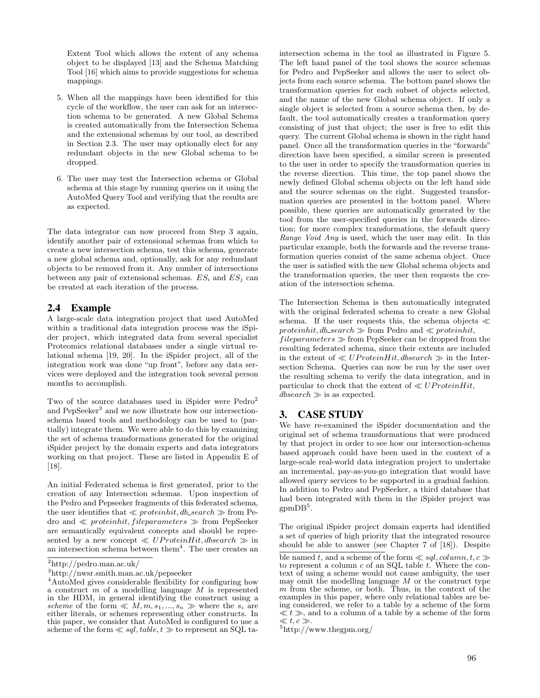Extent Tool which allows the extent of any schema object to be displayed [13] and the Schema Matching Tool [16] which aims to provide suggestions for schema mappings.

- 5. When all the mappings have been identified for this cycle of the workflow, the user can ask for an intersection schema to be generated. A new Global Schema is created automatically from the Intersection Schema and the extensional schemas by our tool, as described in Section 2.3. The user may optionally elect for any redundant objects in the new Global schema to be dropped.
- 6. The user may test the Intersection schema or Global schema at this stage by running queries on it using the AutoMed Query Tool and verifying that the results are as expected.

The data integrator can now proceed from Step 3 again, identify another pair of extensional schemas from which to create a new intersection schema, test this schema, generate a new global schema and, optionally, ask for any redundant objects to be removed from it. Any number of intersections between any pair of extensional schemas.  $ES_i$  and  $ES_j$  can be created at each iteration of the process.

## 2.4 Example

A large-scale data integration project that used AutoMed within a traditional data integration process was the iSpider project, which integrated data from several specialist Proteomics relational databases under a single virtual relational schema [19, 20]. In the iSpider project, all of the integration work was done "up front", before any data services were deployed and the integration took several person months to accomplish.

Two of the source databases used in iSpider were Pedro<sup>2</sup> and PepSeeker<sup>3</sup> and we now illustrate how our intersectionschema based tools and methodology can be used to (partially) integrate them. We were able to do this by examining the set of schema transformations generated for the original iSpider project by the domain experts and data integrators working on that project. These are listed in Appendix E of [18].

An initial Federated schema is first generated, prior to the creation of any Intersection schemas. Upon inspection of the Pedro and Pepseeker fragments of this federated schema, the user identifies that  $\ll$  *proteinhit, db\_search*  $\gg$  from Pedro and  $\ll$  *proteinhit, fileparameters*  $\gg$  from PepSeeker are semantically equivalent concepts and should be represented by a new concept  $\ll UP$ *roteinHit, dbsearch*  $\gg$  in an intersection schema between them<sup>4</sup>. The user creates an

intersection schema in the tool as illustrated in Figure 5. The left hand panel of the tool shows the source schemas for Pedro and PepSeeker and allows the user to select objects from each source schema. The bottom panel shows the transformation queries for each subset of objects selected, and the name of the new Global schema object. If only a single object is selected from a source schema then, by default, the tool automatically creates a tranformation query consisting of just that object; the user is free to edit this query. The current Global schema is shown in the right hand panel. Once all the transformation queries in the "forwards" direction have been specified, a similar screen is presented to the user in order to specify the transformation queries in the reverse direction. This time, the top panel shows the newly defined Global schema objects on the left hand side and the source schemas on the right. Suggested transformation queries are presented in the bottom panel. Where possible, these queries are automatically generated by the tool from the user-specified queries in the forwards direction; for more complex transformations, the default query *Range Void Any* is used, which the user may edit. In this particular example, both the forwards and the reverse transformation queries consist of the same schema object. Once the user is satisfied with the new Global schema objects and the transformation queries, the user then requests the creation of the intersection schema.

The Intersection Schema is then automatically integrated with the original federated schema to create a new Global schema. If the user requests this, the schema objects  $\ll$  $protein hit, db\_search \gg from$  Pedro and  $\ll protein hit$ ,

 $file parameters \gg from PepSeeker can be dropped from the$ resulting federated schema, since their extents are included in the extent of  $\ll UP$ *roteinHit, dbsearch*  $\gg$  in the Intersection Schema. Queries can now be run by the user over the resulting schema to verify the data integration, and in particular to check that the extent of  $\ll UP \tau \sigma t \sin H \dot{t}$ ,  $d\text{bsearch} \gg$  is as expected.

## 3. CASE STUDY

We have re-examined the iSpider documentation and the original set of schema transformations that were produced by that project in order to see how our intersection-schema based approach could have been used in the context of a large-scale real-world data integration project to undertake an incremental, pay-as-you-go integration that would have allowed query services to be supported in a gradual fashion. In addition to Pedro and PepSeeker, a third database that had been integrated with them in the iSpider project was  $gpmDB<sup>5</sup>$ .

The original iSpider project domain experts had identified a set of queries of high priority that the integrated resource should be able to answer (see Chapter 7 of [18]). Despite

<sup>2</sup>http://pedro.man.ac.uk/

<sup>3</sup>http://nwsr.smith.man.ac.uk/pepseeker

<sup>4</sup>AutoMed gives considerable flexibility for configuring how a construct *m* of a modelling language *M* is represented in the HDM, in general identifying the construct using a *scheme* of the form  $\ll M, m, s_1, ..., s_n \gg$  where the  $s_i$  are either literals, or schemes representing other constructs. In this paper, we consider that AutoMed is configured to use a scheme of the form  $\ll$  *sql, table, t*  $\gg$  to represent an SQL ta-

ble named *t*, and a scheme of the form  $\ll$  *sql, column, t, c*  $\gg$ to represent a column *c* of an SQL table *t*. Where the context of using a scheme would not cause ambiguity, the user may omit the modelling language  $M$  or the construct type  $m$  from the scheme, or both. Thus, in the context of the examples in this paper, where only relational tables are being considered, we refer to a table by a scheme of the form  $\ll t \gg$ , and to a column of a table by a scheme of the form  $\ll t, c \gg$ .

<sup>&</sup>lt;sup>5</sup>http://www.thegpm.org/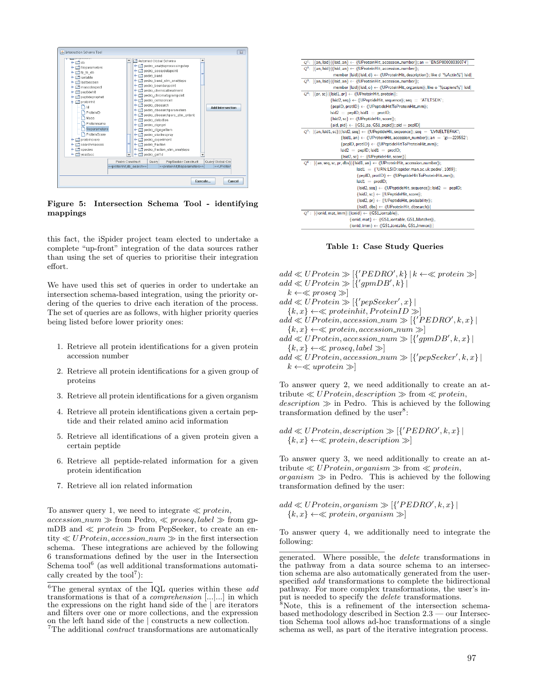

Figure 5: Intersection Schema Tool - identifying mappings

this fact, the iSpider project team elected to undertake a complete "up-front" integration of the data sources rather than using the set of queries to prioritise their integration effort.

We have used this set of queries in order to undertake an intersection schema-based integration, using the priority ordering of the queries to drive each iteration of the process. The set of queries are as follows, with higher priority queries being listed before lower priority ones:

- 1. Retrieve all protein identifications for a given protein accession number
- 2. Retrieve all protein identifications for a given group of proteins
- 3. Retrieve all protein identifications for a given organism
- 4. Retrieve all protein identifications given a certain peptide and their related amino acid information
- 5. Retrieve all identifications of a given protein given a certain peptide
- 6. Retrieve all peptide-related information for a given protein identification
- 7. Retrieve all ion related information

To answer query 1, we need to integrate  $\ll$  *protein*,

 $\text{accession\_num} \gg \text{from Pedro}, \ll \text{proseq}, \text{label} \gg \text{from gp}$ mDB and  $\ll$  *protein*  $\gg$  from PepSeeker, to create an en- $\text{tity} \ll UP \text{rotein}, \text{accession\_num} \gg \text{in the first intersection}$ schema. These integrations are achieved by the following 6 transformations defined by the user in the Intersection Schema tool $^6$  (as well additional transformations automatically created by the  $\text{tool}^7$ :

| $O1$ :  | $\{an, Isid\}$ $\{Isid, an\} \leftarrow \emptyset$ (UProteinHit, accession_number)); $an = 'ENSP00000339074'$             |
|---------|---------------------------------------------------------------------------------------------------------------------------|
| $Q^2$ : | $\{\{an, Isid\} \{\{sid, an\} \leftarrow \langle\langle\text{UProteinHit}, \text{accession_number}\rangle\}$ ;            |
|         | member [Isid {Isid, d} $\leftarrow$ ((UProteinHit, description)); like d '%Actin%'] Isid]                                 |
|         | $Q^3$ : {{an, lsid}}{Isid, an} $\leftarrow$ ((UProteinHit, accession_number));                                            |
|         | member [Isid {Isid, o} $\leftarrow$ ((UProteinHit, organism)); like o '%sapiens%'  Isid                                   |
|         | $Q^4$ : {{pr, sc}}{Isid1, pr} $\leftarrow$ ((UProteinHit, protein));                                                      |
|         | ${listd2, seq} \leftarrow \langle \text{UPeptideHit}, \text{sequence} \rangle$ ; seg = 'ATLTSDK';                         |
|         | {pepID, protID} ← ((UPeptideHitToProteinHit_mm));                                                                         |
|         | $Isid2 = peplD:Isid1 = protID$                                                                                            |
|         | ${list2, sc} \leftarrow \langle \text{UPeptideHit}, \text{score} \rangle$ ;                                               |
|         | ${aid, pid} \leftarrow ((GS1_aa, GS1_pepid)); pid = pepID$                                                                |
|         | $Q^5$ : [{an, lsid1, sc}]{Isid2, seq} $\leftarrow$ ((UPeptideHit, sequence)); seq = 'LVNELTEFAK';                         |
|         | $\{$ Isid1, an $\} \leftarrow \{$ (UP rotein Hit, accession_number)); an $=$ 'gi-229552';                                 |
|         | {pepID, protID} ← ((UPeptideHitToProteinHit_mm));                                                                         |
|         | $Isid2 = pepID; Isid1 = protID;$                                                                                          |
|         | {Isid2, sc} ← 《UPeptideHit, score》]                                                                                       |
|         | $Q^6$ : {{an, seq, sc, pr, dbs}}{Isid1, an} $\leftarrow$ ((UProteinHit, accession_number));                               |
|         | lsid1 = {'URN:LSID:ispider.man.ac.uk:pedro', 1069};                                                                       |
|         | {pepID, protID} ← ((UPeptideHitToProteinHit_mm));                                                                         |
|         | $Isid1 = protID$ :                                                                                                        |
|         | ${list2, seq} \leftarrow$ ((UPeptideHit, sequence)); Isid2 = pepID;                                                       |
|         | ${list2, sc} \leftarrow \langle \text{UPeptideHit}, \text{score} \rangle$ ;                                               |
|         | {Isid2, pr} ← ((UPeptideHit, probability));                                                                               |
|         | {Isid1, dbs} ← ((UProteinHit, dbsearch))                                                                                  |
|         | $Q^7$ : [{ionid, mat, imm}]{ionid} $\leftarrow$ ((GS1_iontable)),                                                         |
|         | $\{$ ionid, mat $\} \leftarrow \langle \langle \text{GS1\_iontable}, \text{GS1\_Matches} \rangle \rangle$ ,               |
|         | $\{\mathsf{ionid}, \mathsf{imm}\} \leftarrow \langle \mathsf{\langle GS1\_iontable}, \mathsf{GS1\_lmmon} \rangle \rangle$ |

Table 1: Case Study Queries

 $add \ll UP \text{rotein} \gg [\{^{\prime} PEDRO^{\prime}, k\} | k \leftarrow \ll protein \gg]$  $add \ll UP \space rotein \gg [\{^\prime gpmDB^\prime, k\}]$  $k \leftarrow \ll prog \gg$  $add \ll UP \tau \,oteq \, in \gg \left[ \{^{\prime} \, pep\,Seeker^{\prime}, x \} \, \right]$  ${k, x} \leftarrow \ll proteinhit, ProteinID \gg$  $add \ll UP \text{rotein}, \text{accession\_num} \gg [\{^{\prime} PEDRO^{\prime}, k, x\}]$  ${k, x} \leftarrow \ll protein, accession\_num \gg$  $add \ll UP \textit{rotein}, \textit{accession\_num} \gg [\{'\textit{gpmDB}', k, x\}]$  ${k, x} \leftarrow \ll prog, label \gg$  $add \ll UP \textit{rotein}, \textit{accession\_num} \gg [\{'\textit{pepSeeker'}, k, x\} \,]$ 

To answer query 2, we need additionally to create an attribute  $\ll UP$ *rotein, description*  $\gg$  from  $\ll$  *protein,*  $description \gg$  in Pedro. This is achieved by the following

 $add \ll UP \textit{rotein}, description \gg [{\textit{'PEDRO'}},k,x]$  ${k, x} \leftarrow \ll protein, description \gg$ 

 $k \leftarrow \ll uprotein \gg$ 

transformation defined by the user $8$ :

To answer query 3, we need additionally to create an attribute  $\ll UP$ *rotein, organism*  $\gg$  from  $\ll$  *protein,*  $r_0$ *organism*  $\gg$  in Pedro. This is achieved by the following transformation defined by the user:

 $add \ll UP \textit{rotein}, \textit{organism} \gg [\{^{\prime}PEDRO^{\prime}, k, x\}]$  ${k, x} \leftarrow \ll protein, organism \gg$ 

To answer query 4, we additionally need to integrate the following:

<sup>6</sup>The general syntax of the IQL queries within these *add* transformations is that of a *comprehension* [*...|...*] in which the expressions on the right hand side of the *|* are iterators and filters over one or more collections, and the expression on the left hand side of the  $\vert$  constructs a new collection.

 $\alpha$ <sup> $\tau$ </sup>The additional *contract* transformations are automatically

generated. Where possible, the *delete* transformations in the pathway from a data source schema to an intersection schema are also automatically generated from the userspecified *add* transformations to complete the bidirectional pathway. For more complex transformations, the user's input is needed to specify the *delete* transformations.<br><sup>8</sup>Note, this is a refinement of the intersection schema-

based methodology described in Section 2.3 — our Intersection Schema tool allows ad-hoc transformations of a single schema as well, as part of the iterative integration process.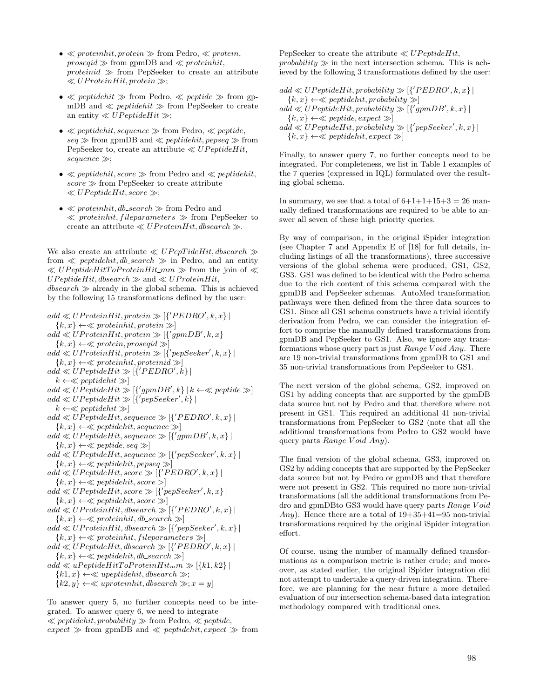- $\bullet \ll protein hit, protein \gg from Pedro, \ll protein,$ *proseqid*  $\gg$  from gpmDB and  $\ll$  *proteinhit*,  $proteinid \gg from PepSeeker to create an attribute$  $\ll UP$ *roteinHit, protein*  $\gg$ ;
- $\ll$  *peptidehit*  $\gg$  from Pedro,  $\ll$  *peptide*  $\gg$  from gpmDB and  $\ll$  *peptidehit*  $\gg$  from PepSeeker to create an entity  $\ll UP$ *eptideHit*  $\gg$ ;
- $\bullet \ll peptidehit, sequence \gg from Pedro, \ll peptide,$  $seq \gg$  from gpmDB and  $\ll$  *peptidehit, pepseq*  $\gg$  from PepSeeker to, create an attribute  $\ll UP$ *eptideHit*,  $sequence \gg;$
- $\ll$  *peptidehit, score*  $\gg$  from Pedro and  $\ll$  *peptidehit,*  $score \gg from$  PepSeeker to create attribute  $\ll UPeptideHit, score \gg;$
- *•* ≪ *proteinhit, db\_search* ≫ from Pedro and  $\ll$  proteinhit, fileparameters  $\gg$  from PepSeeker to create an attribute  $\ll UP$ *roteinHit, dbsearch*  $\gg$ .

We also create an attribute  $\ll UP$ epTideHit, dbsearch  $\gg$ from  $\ll$  *peptidehit, db\_search*  $\gg$  in Pedro, and an entity  $\ll UP$ eptideHitToProteinHit\_mm  $\gg$  from the join of  $\ll$  $UPeptideHit, dbasearch \gg \text{and} \ll UP roteinHit,$  $dbs\acute{e}arch \gg$  already in the global schema. This is achieved by the following 15 transformations defined by the user:

 $add \ll UP \, roteinHit, \, protein \gg [\{^{\prime} PEDRO^{\prime}, k, x\}]$  ${k, x} \leftarrow \ll proteinhit, protein \gg$  $add \ll UP \tau \, to \, H \, it, \, protein \gg [\{^{\prime}gpmDB^{\prime},k,x\}]$  ${k, x} \leftarrow \ll protein, prosegid \gg$  $add \ll UP \tau \, to \, H \, it, protein \gg [\{^\prime \, pepSeeker^\prime, k, x\}]$  ${k, x} \leftarrow \ll proteinhit, proteinid \gg$  $add \ll UP$ eptideHit  $\gg$  [{'PEDRO', k} |  $k \leftarrow \ll$  *peptidehit*  $\gg$  $add \ll UP$ eptide $Hit \gg [{\qquadqmm}B',k] | k \leftarrow \ll peptide \gg]$  $add \ll UP$ eptide $Hit \gg [\{^{\prime}pepSeeker^{\prime}, k\}]$  $k \leftarrow \ll$  *peptidehit*  $\gg$  $add \ll UP$ eptideHit, sequence  $\gg [\{^{\prime}PEDRO^{\prime}, k, x\}]$  ${k, x} \leftarrow \ll peptidehit, sequence \gg$  $add \ll UP$ eptideHit, sequence  $\gg [\{^{\prime}gpmDB^{\prime}, k, x\}]$  ${k, x} \leftarrow \ll peptide, seq \gg$  $add \ll UP$ eptideHit, sequence  $\gg [\{^{\prime}pepSeeker^{\prime},k,x\}]$  ${k, x} \leftarrow \ll peptidehit, pepseq \gg$  $add \ll UPeptideHit, score \gg [{PEDRO', k, x}]$  ${k, x} \leftarrow \ll peptidehit, score >$  $add \ll UP$ eptideHit, score  $\gg \left[ \{^{\prime} \text{pepSeeker}^{\prime}, k, x \} \right]$  ${k, x} \leftarrow \ll peptidehit, score \gg$  $add \ll UP \tau \, to \, H \, it,,, the graph \gg \left[ \{^{\prime} PEDRO^{\prime}, k, x \} \right]$  ${k, x} \leftarrow \ll proteinhit, db\_search \gg$  $add \ll UP \tau \, to \, H \, it,, by the same function \mathcal{D} \left[ \{ \text{'}pepSeeker',k,x \} \right]$  ${k, x} \leftarrow \ll proteinhit, file parameters \gg$  $add \ll UP$ eptideHit, dbsearch  $\gg [\{^{\prime}PEDRO^{\prime}, k, x\}]$  ${k, x} \leftarrow \ll peptidehit, db\_search \gg$  $add \ll uPeptideHitToProteinHit<sub>m</sub>$ *m*  $\gg$  [{*k*1*, k*2} |  ${k1, x} \leftarrow \ll upeptidehit, dbsearch \gg;$  ${k2, y} \leftarrow \ll uprotein hit, *dbsearch* \gg; x = y$ 

To answer query 5, no further concepts need to be integrated. To answer query 6, we need to integrate  $\ll$  *peptidehit, probability*  $\gg$  from Pedro,  $\ll$  *peptide,*  $expect \gg from gpmDB$  and  $\ll peptide hit, expect \gg from$ 

PepSeeker to create the attribute  $\ll UP$ eptideHit,  $probability \gg$  in the next intersection schema. This is achieved by the following 3 transformations defined by the user:

 $add \ll UP$ eptideHit, probability  $\gg$  [{ $'PEDRO', k, x$ } |  $\{k, x\} \leftarrow \ll peptidehit, probability \gg$  $add \ll UP$ eptideHit, probability  $\gg [\{^{\prime}gpmDB^{\prime}, k, x\}]$  ${k, x} \leftarrow \ll p e$ *peptide, expect*  $\gg$  $add \ll UP \text{eptideHit}, probability \gg [\{^\prime \text{pepSeeker}^\prime, k, x\}]$  ${k, x} \leftarrow \ll peptidehit, expect \gg$ 

Finally, to answer query 7, no further concepts need to be integrated. For completeness, we list in Table 1 examples of the 7 queries (expressed in IQL) formulated over the resulting global schema.

In summary, we see that a total of  $6+1+1+15+3=26$  manually defined transformations are required to be able to answer all seven of these high priority queries.

By way of comparison, in the original iSpider integration (see Chapter 7 and Appendix E of [18] for full details, including listings of all the transformations), three successive versions of the global schema were produced, GS1, GS2, GS3. GS1 was defined to be identical with the Pedro schema due to the rich content of this schema compared with the gpmDB and PepSeeker schemas. AutoMed transformation pathways were then defined from the three data sources to GS1. Since all GS1 schema constructs have a trivial identify derivation from Pedro, we can consider the integration effort to comprise the manually defined transformations from gpmDB and PepSeeker to GS1. Also, we ignore any transformations whose query part is just *Range V oid Any*. There are 19 non-trivial transformations from gpmDB to GS1 and 35 non-trivial transformations from PepSeeker to GS1.

The next version of the global schema, GS2, improved on GS1 by adding concepts that are supported by the gpmDB data source but not by Pedro and that therefore where not present in GS1. This required an additional 41 non-trivial transformations from PepSeeker to GS2 (note that all the additional transformations from Pedro to GS2 would have query parts *Range V oid Any*).

The final version of the global schema, GS3, improved on GS2 by adding concepts that are supported by the PepSeeker data source but not by Pedro or gpmDB and that therefore were not present in GS2. This required no more non-trivial transformations (all the additional transformations from Pedro and gpmDBto GS3 would have query parts *Range V oid Any*). Hence there are a total of 19+35+41=95 non-trivial transformations required by the original iSpider integration effort.

Of course, using the number of manually defined transformations as a comparison metric is rather crude; and moreover, as stated earlier, the original iSpider integration did not attempt to undertake a query-driven integration. Therefore, we are planning for the near future a more detailed evaluation of our intersection schema-based data integration methodology compared with traditional ones.